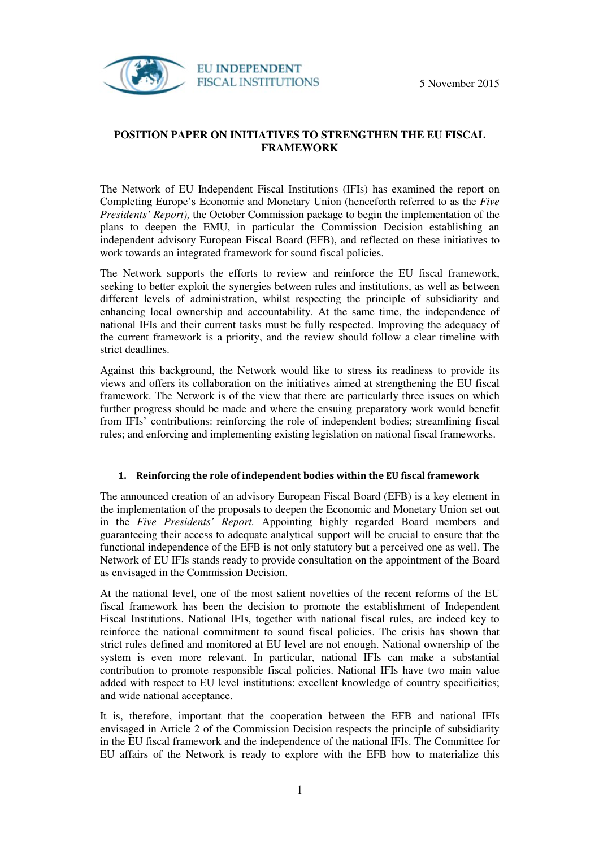

## **POSITION PAPER ON INITIATIVES TO STRENGTHEN THE EU FISCAL FRAMEWORK**

The Network of EU Independent Fiscal Institutions (IFIs) has examined the report on Completing Europe's Economic and Monetary Union (henceforth referred to as the *Five Presidents' Report*), the October Commission package to begin the implementation of the plans to deepen the EMU, in particular the Commission Decision establishing an independent advisory European Fiscal Board (EFB), and reflected on these initiatives to work towards an integrated framework for sound fiscal policies.

The Network supports the efforts to review and reinforce the EU fiscal framework, seeking to better exploit the synergies between rules and institutions, as well as between different levels of administration, whilst respecting the principle of subsidiarity and enhancing local ownership and accountability. At the same time, the independence of national IFIs and their current tasks must be fully respected. Improving the adequacy of the current framework is a priority, and the review should follow a clear timeline with strict deadlines.

Against this background, the Network would like to stress its readiness to provide its views and offers its collaboration on the initiatives aimed at strengthening the EU fiscal framework. The Network is of the view that there are particularly three issues on which further progress should be made and where the ensuing preparatory work would benefit from IFIs' contributions: reinforcing the role of independent bodies; streamlining fiscal rules; and enforcing and implementing existing legislation on national fiscal frameworks.

## **1. Reinforcing the role of independent bodies within the EU fiscal framework**

The announced creation of an advisory European Fiscal Board (EFB) is a key element in the implementation of the proposals to deepen the Economic and Monetary Union set out in the *Five Presidents' Report.* Appointing highly regarded Board members and guaranteeing their access to adequate analytical support will be crucial to ensure that the functional independence of the EFB is not only statutory but a perceived one as well. The Network of EU IFIs stands ready to provide consultation on the appointment of the Board as envisaged in the Commission Decision.

At the national level, one of the most salient novelties of the recent reforms of the EU fiscal framework has been the decision to promote the establishment of Independent Fiscal Institutions. National IFIs, together with national fiscal rules, are indeed key to reinforce the national commitment to sound fiscal policies. The crisis has shown that strict rules defined and monitored at EU level are not enough. National ownership of the system is even more relevant. In particular, national IFIs can make a substantial contribution to promote responsible fiscal policies. National IFIs have two main value added with respect to EU level institutions: excellent knowledge of country specificities; and wide national acceptance.

It is, therefore, important that the cooperation between the EFB and national IFIs envisaged in Article 2 of the Commission Decision respects the principle of subsidiarity in the EU fiscal framework and the independence of the national IFIs. The Committee for EU affairs of the Network is ready to explore with the EFB how to materialize this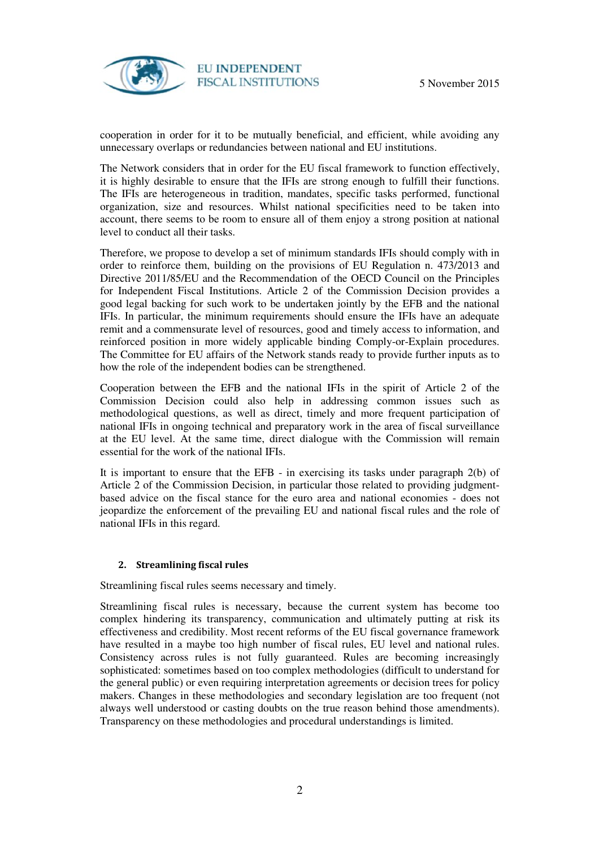

**EU INDEPENDENT FISCAL INSTITUTIONS** 

cooperation in order for it to be mutually beneficial, and efficient, while avoiding any unnecessary overlaps or redundancies between national and EU institutions.

The Network considers that in order for the EU fiscal framework to function effectively, it is highly desirable to ensure that the IFIs are strong enough to fulfill their functions. The IFIs are heterogeneous in tradition, mandates, specific tasks performed, functional organization, size and resources. Whilst national specificities need to be taken into account, there seems to be room to ensure all of them enjoy a strong position at national level to conduct all their tasks.

Therefore, we propose to develop a set of minimum standards IFIs should comply with in order to reinforce them, building on the provisions of EU Regulation n. 473/2013 and Directive 2011/85/EU and the Recommendation of the OECD Council on the Principles for Independent Fiscal Institutions. Article 2 of the Commission Decision provides a good legal backing for such work to be undertaken jointly by the EFB and the national IFIs. In particular, the minimum requirements should ensure the IFIs have an adequate remit and a commensurate level of resources, good and timely access to information, and reinforced position in more widely applicable binding Comply-or-Explain procedures. The Committee for EU affairs of the Network stands ready to provide further inputs as to how the role of the independent bodies can be strengthened.

Cooperation between the EFB and the national IFIs in the spirit of Article 2 of the Commission Decision could also help in addressing common issues such as methodological questions, as well as direct, timely and more frequent participation of national IFIs in ongoing technical and preparatory work in the area of fiscal surveillance at the EU level. At the same time, direct dialogue with the Commission will remain essential for the work of the national IFIs.

It is important to ensure that the EFB - in exercising its tasks under paragraph 2(b) of Article 2 of the Commission Decision, in particular those related to providing judgmentbased advice on the fiscal stance for the euro area and national economies - does not jeopardize the enforcement of the prevailing EU and national fiscal rules and the role of national IFIs in this regard.

## **2. Streamlining fiscal rules**

Streamlining fiscal rules seems necessary and timely.

Streamlining fiscal rules is necessary, because the current system has become too complex hindering its transparency, communication and ultimately putting at risk its effectiveness and credibility. Most recent reforms of the EU fiscal governance framework have resulted in a maybe too high number of fiscal rules, EU level and national rules. Consistency across rules is not fully guaranteed. Rules are becoming increasingly sophisticated: sometimes based on too complex methodologies (difficult to understand for the general public) or even requiring interpretation agreements or decision trees for policy makers. Changes in these methodologies and secondary legislation are too frequent (not always well understood or casting doubts on the true reason behind those amendments). Transparency on these methodologies and procedural understandings is limited.